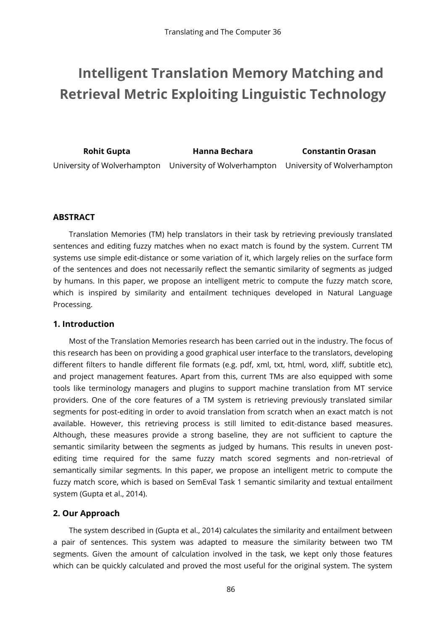# **Intelligent Translation Memory Matching and Retrieval Metric Exploiting Linguistic Technology**

**Rohit Gupta Hanna Bechara Constantin Orasan** University of Wolverhampton University of Wolverhampton University of Wolverhampton

#### **ABSTRACT**

Translation Memories (TM) help translators in their task by retrieving previously translated sentences and editing fuzzy matches when no exact match is found by the system. Current TM systems use simple edit-distance or some variation of it, which largely relies on the surface form of the sentences and does not necessarily reflect the semantic similarity of segments as judged by humans. In this paper, we propose an intelligent metric to compute the fuzzy match score, which is inspired by similarity and entailment techniques developed in Natural Language Processing.

#### **1. Introduction**

Most of the Translation Memories research has been carried out in the industry. The focus of this research has been on providing a good graphical user interface to the translators, developing different filters to handle different file formats (e.g. pdf, xml, txt, html, word, xliff, subtitle etc), and project management features. Apart from this, current TMs are also equipped with some tools like terminology managers and plugins to support machine translation from MT service providers. One of the core features of a TM system is retrieving previously translated similar segments for post-editing in order to avoid translation from scratch when an exact match is not available. However, this retrieving process is still limited to edit-distance based measures. Although, these measures provide a strong baseline, they are not sufficient to capture the semantic similarity between the segments as judged by humans. This results in uneven postediting time required for the same fuzzy match scored segments and non-retrieval of semantically similar segments. In this paper, we propose an intelligent metric to compute the fuzzy match score, which is based on SemEval Task 1 semantic similarity and textual entailment system (Gupta et al., 2014).

### **2. Our Approach**

The system described in (Gupta et al., 2014) calculates the similarity and entailment between a pair of sentences. This system was adapted to measure the similarity between two TM segments. Given the amount of calculation involved in the task, we kept only those features which can be quickly calculated and proved the most useful for the original system. The system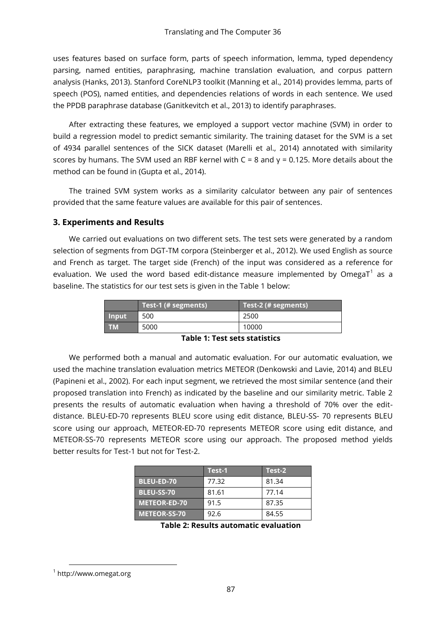uses features based on surface form, parts of speech information, lemma, typed dependency parsing, named entities, paraphrasing, machine translation evaluation, and corpus pattern analysis (Hanks, 2013). Stanford CoreNLP3 toolkit (Manning et al., 2014) provides lemma, parts of speech (POS), named entities, and dependencies relations of words in each sentence. We used the PPDB paraphrase database (Ganitkevitch et al., 2013) to identify paraphrases.

After extracting these features, we employed a support vector machine (SVM) in order to build a regression model to predict semantic similarity. The training dataset for the SVM is a set of 4934 parallel sentences of the SICK dataset (Marelli et al., 2014) annotated with similarity scores by humans. The SVM used an RBF kernel with C = 8 and γ = 0.125. More details about the method can be found in (Gupta et al., 2014).

The trained SVM system works as a similarity calculator between any pair of sentences provided that the same feature values are available for this pair of sentences.

#### **3. Experiments and Results**

We carried out evaluations on two different sets. The test sets were generated by a random selection of segments from DGT-TM corpora (Steinberger et al., 2012). We used English as source and French as target. The target side (French) of the input was considered as a reference for evaluation. We used the word based edit-distance measure implemented by OmegaT $^\mathrm{1}$  as a baseline. The statistics for our test sets is given in the Table 1 below:

|              | $Test-1$ (# segments) | Test- $2$ (# segments) |
|--------------|-----------------------|------------------------|
| <b>Input</b> | 500                   | 2500                   |
| <b>TM</b>    | 5000                  | 10000                  |

**Table 1: Test sets statistics**

We performed both a manual and automatic evaluation. For our automatic evaluation, we used the machine translation evaluation metrics METEOR (Denkowski and Lavie, 2014) and BLEU (Papineni et al., 2002). For each input segment, we retrieved the most similar sentence (and their proposed translation into French) as indicated by the baseline and our similarity metric. Table 2 presents the results of automatic evaluation when having a threshold of 70% over the editdistance. BLEU-ED-70 represents BLEU score using edit distance, BLEU-SS- 70 represents BLEU score using our approach, METEOR-ED-70 represents METEOR score using edit distance, and METEOR-SS-70 represents METEOR score using our approach. The proposed method yields better results for Test-1 but not for Test-2.

|                     | Test-1 | Test-2 |
|---------------------|--------|--------|
| <b>BLEU-ED-70</b>   | 77.32  | 81.34  |
| <b>BLEU-SS-70</b>   | 81.61  | 77.14  |
| <b>METEOR-ED-70</b> | 91.5   | 87.35  |
| <b>METEOR-SS-70</b> | 92.6   | 84.55  |

**Table 2: Results automatic evaluation**

l

<sup>1</sup> http://www.omegat.org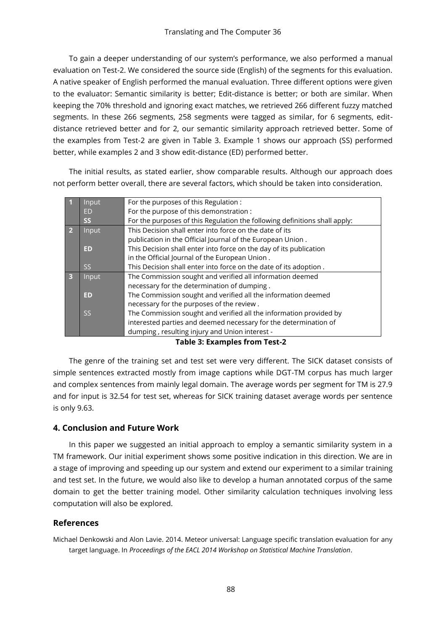To gain a deeper understanding of our system's performance, we also performed a manual evaluation on Test-2. We considered the source side (English) of the segments for this evaluation. A native speaker of English performed the manual evaluation. Three different options were given to the evaluator: Semantic similarity is better; Edit-distance is better; or both are similar. When keeping the 70% threshold and ignoring exact matches, we retrieved 266 different fuzzy matched segments. In these 266 segments, 258 segments were tagged as similar, for 6 segments, editdistance retrieved better and for 2, our semantic similarity approach retrieved better. Some of the examples from Test-2 are given in Table 3. Example 1 shows our approach (SS) performed better, while examples 2 and 3 show edit-distance (ED) performed better.

The initial results, as stated earlier, show comparable results. Although our approach does not perform better overall, there are several factors, which should be taken into consideration.

|                         | Input     | For the purposes of this Regulation:                                       |  |
|-------------------------|-----------|----------------------------------------------------------------------------|--|
|                         | ED        | For the purpose of this demonstration :                                    |  |
|                         | <b>SS</b> | For the purposes of this Regulation the following definitions shall apply: |  |
| $\vert$ 2               | Input     | This Decision shall enter into force on the date of its                    |  |
|                         |           | publication in the Official Journal of the European Union.                 |  |
|                         | <b>ED</b> | This Decision shall enter into force on the day of its publication         |  |
|                         |           | in the Official Journal of the European Union.                             |  |
|                         | SS.       | This Decision shall enter into force on the date of its adoption.          |  |
| $\overline{\mathbf{3}}$ | Input     | The Commission sought and verified all information deemed                  |  |
|                         |           | necessary for the determination of dumping.                                |  |
|                         | ED        | The Commission sought and verified all the information deemed              |  |
|                         |           | necessary for the purposes of the review.                                  |  |
|                         | <b>SS</b> | The Commission sought and verified all the information provided by         |  |
|                         |           | interested parties and deemed necessary for the determination of           |  |
|                         |           | dumping, resulting injury and Union interest -                             |  |

**Table 3: Examples from Test-2**

The genre of the training set and test set were very different. The SICK dataset consists of simple sentences extracted mostly from image captions while DGT-TM corpus has much larger and complex sentences from mainly legal domain. The average words per segment for TM is 27.9 and for input is 32.54 for test set, whereas for SICK training dataset average words per sentence is only 9.63.

## **4. Conclusion and Future Work**

In this paper we suggested an initial approach to employ a semantic similarity system in a TM framework. Our initial experiment shows some positive indication in this direction. We are in a stage of improving and speeding up our system and extend our experiment to a similar training and test set. In the future, we would also like to develop a human annotated corpus of the same domain to get the better training model. Other similarity calculation techniques involving less computation will also be explored.

### **References**

Michael Denkowski and Alon Lavie. 2014. Meteor universal: Language specific translation evaluation for any target language. In *Proceedings of the EACL 2014 Workshop on Statistical Machine Translation*.